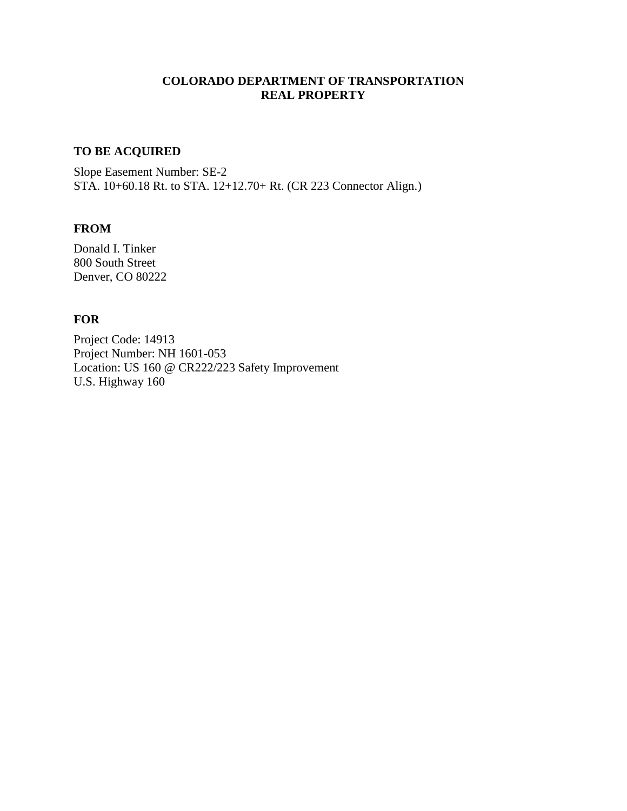# **COLORADO DEPARTMENT OF TRANSPORTATION REAL PROPERTY**

## **TO BE ACQUIRED**

Slope Easement Number: SE-2 STA. 10+60.18 Rt. to STA. 12+12.70+ Rt. (CR 223 Connector Align.)

## **FROM**

Donald I. Tinker 800 South Street Denver, CO 80222

### **FOR**

Project Code: 14913 Project Number: NH 1601-053 Location: US 160 @ CR222/223 Safety Improvement U.S. Highway 160